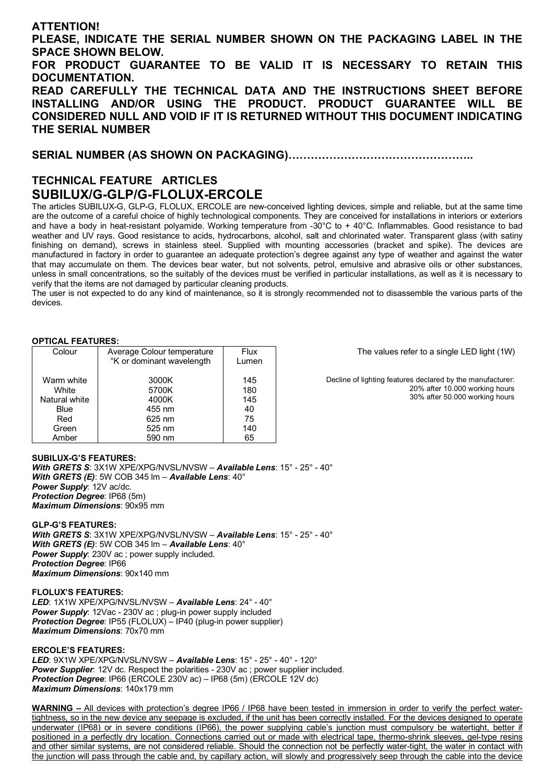# **ATTENTION!**

**PLEASE, INDICATE THE SERIAL NUMBER SHOWN ON THE PACKAGING LABEL IN THE SPACE SHOWN BELOW.**

**FOR PRODUCT GUARANTEE TO BE VALID IT IS NECESSARY TO RETAIN THIS DOCUMENTATION.**

**READ CAREFULLY THE TECHNICAL DATA AND THE INSTRUCTIONS SHEET BEFORE INSTALLING AND/OR USING THE PRODUCT. PRODUCT GUARANTEE WILL BE CONSIDERED NULL AND VOID IF IT IS RETURNED WITHOUT THIS DOCUMENT INDICATING THE SERIAL NUMBER**

**SERIAL NUMBER (AS SHOWN ON PACKAGING)…………………………………………..** 

# **TECHNICAL FEATURE ARTICLES SUBILUX/G-GLP/G-FLOLUX-ERCOLE**

The articles SUBILUX-G, GLP-G, FLOLUX, ERCOLE are new-conceived lighting devices, simple and reliable, but at the same time are the outcome of a careful choice of highly technological components. They are conceived for installations in interiors or exteriors and have a body in heat-resistant polyamide. Working temperature from -30°C to + 40°C. Inflammables. Good resistance to bad weather and UV rays. Good resistance to acids, hydrocarbons, alcohol, salt and chlorinated water. Transparent glass (with satiny finishing on demand), screws in stainless steel. Supplied with mounting accessories (bracket and spike). The devices are manufactured in factory in order to guarantee an adequate protection's degree against any type of weather and against the water that may accumulate on them. The devices bear water, but not solvents, petrol, emulsive and abrasive oils or other substances, unless in small concentrations, so the suitably of the devices must be verified in particular installations, as well as it is necessary to verify that the items are not damaged by particular cleaning products.

The user is not expected to do any kind of maintenance, so it is strongly recommended not to disassemble the various parts of the devices.

## **OPTICAL FEATURES:**

| Colour        | Average Colour temperature | <b>Flux</b> |
|---------------|----------------------------|-------------|
|               | °K or dominant wavelength  | Lumen       |
| Warm white    | 3000K                      | 145         |
| White         | 5700K                      | 180         |
| Natural white | 4000K                      | 145         |
| Blue          | 455 nm                     | 40          |
| Red           | 625 nm                     | 75          |
| Green         | 525 nm                     | 140         |
| Amber         | 590 nm                     | 65          |

The values refer to a single LED light (1W)

Decline of lighting features declared by the manufacturer: 20% after 10.000 working hours 30% after 50.000 working hours

#### **SUBILUX-G'S FEATURES:**  *With GRETS S*: 3X1W XPE/XPG/NVSL/NVSW – *Available Lens*: 15° - 25° - 40° *With GRETS (E)*: 5W COB 345 lm – *Available Lens*: 40° *Power Supply*: 12V ac/dc. *Protection Degree*: IP68 (5m) *Maximum Dimensions*: 90x95 mm

### **GLP-G'S FEATURES:**

*With GRETS S*: 3X1W XPE/XPG/NVSL/NVSW – *Available Lens*: 15° - 25° - 40° *With GRETS (E)*: 5W COB 345 lm – *Available Lens*: 40° *Power Supply*: 230V ac ; power supply included. *Protection Degree*: IP66 *Maximum Dimensions*: 90x140 mm

**FLOLUX'S FEATURES:**  *LED*: 1X1W XPE/XPG/NVSL/NVSW – *Available Lens*: 24° - 40° *Power Supply*: 12Vac - 230V ac ; plug-in power supply included *Protection Degree*: IP55 (FLOLUX) – IP40 (plug-in power supplier) *Maximum Dimensions*: 70x70 mm

#### **ERCOLE'S FEATURES:**

*LED*: 9X1W XPE/XPG/NVSL/NVSW – *Available Lens*: 15° - 25° - 40° - 120° *Power Supplier*: 12V dc. Respect the polarities - 230V ac ; power supplier included. *Protection Degree*: IP66 (ERCOLE 230V ac) – IP68 (5m) (ERCOLE 12V dc) *Maximum Dimensions*: 140x179 mm

**WARNING –** All devices with protection's degree IP66 / IP68 have been tested in immersion in order to verify the perfect watertightness, so in the new device any seepage is excluded, if the unit has been correctly installed. For the devices designed to operate underwater (IP68) or in severe conditions (IP66), the power supplying cable's junction must compulsory be watertight, better if positioned in a perfectly dry location. Connections carried out or made with electrical tape, thermo-shrink sleeves, gel-type resins and other similar systems, are not considered reliable. Should the connection not be perfectly water-tight, the water in contact with the junction will pass through the cable and, by capillary action, will slowly and progressively seep through the cable into the device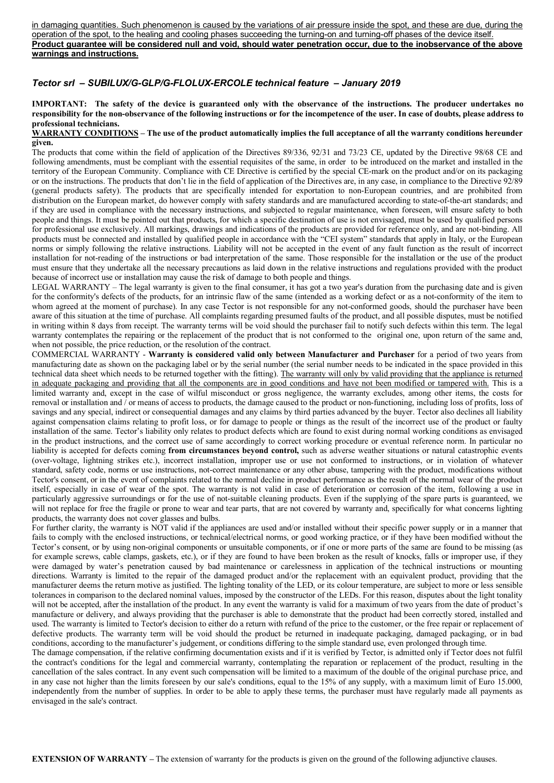in damaging quantities. Such phenomenon is caused by the variations of air pressure inside the spot, and these are due, during the operation of the spot, to the healing and cooling phases succeeding the turning-on and turning-off phases of the device itself. **Product guarantee will be considered null and void, should water penetration occur, due to the inobservance of the above warnings and instructions.**

# *Tector srl – SUBILUX/G-GLP/G-FLOLUX-ERCOLE technical feature – January 2019*

**IMPORTANT: The safety of the device is guaranteed only with the observance of the instructions. The producer undertakes no responsibility for the non-observance of the following instructions or for the incompetence of the user. In case of doubts, please address to professional technicians.**

#### **WARRANTY CONDITIONS – The use of the product automatically implies the full acceptance of all the warranty conditions hereunder given.**

The products that come within the field of application of the Directives 89/336, 92/31 and 73/23 CE, updated by the Directive 98/68 CE and following amendments, must be compliant with the essential requisites of the same, in order to be introduced on the market and installed in the territory of the European Community. Compliance with CE Directive is certified by the special CE-mark on the product and/or on its packaging or on the instructions. The products that don't lie in the field of application of the Directives are, in any case, in compliance to the Directive 92/89 (general products safety). The products that are specifically intended for exportation to non-European countries, and are prohibited from distribution on the European market, do however comply with safety standards and are manufactured according to state-of-the-art standards; and if they are used in compliance with the necessary instructions, and subjected to regular maintenance, when foreseen, will ensure safety to both people and things. It must be pointed out that products, for which a specific destination of use is not envisaged, must be used by qualified persons for professional use exclusively. All markings, drawings and indications of the products are provided for reference only, and are not-binding. All products must be connected and installed by qualified people in accordance with the "CEI system" standards that apply in Italy, or the European norms or simply following the relative instructions. Liability will not be accepted in the event of any fault function as the result of incorrect installation for not-reading of the instructions or bad interpretation of the same. Those responsible for the installation or the use of the product must ensure that they undertake all the necessary precautions as laid down in the relative instructions and regulations provided with the product because of incorrect use or installation may cause the risk of damage to both people and things.

LEGAL WARRANTY – The legal warranty is given to the final consumer, it has got a two year's duration from the purchasing date and is given for the conformity's defects of the products, for an intrinsic flaw of the same (intended as a working defect or as a not-conformity of the item to whom agreed at the moment of purchase). In any case Tector is not responsible for any not-conformed goods, should the purchaser have been aware of this situation at the time of purchase. All complaints regarding presumed faults of the product, and all possible disputes, must be notified in writing within 8 days from receipt. The warranty terms will be void should the purchaser fail to notify such defects within this term. The legal warranty contemplates the repairing or the replacement of the product that is not conformed to the original one, upon return of the same and, when not possible, the price reduction, or the resolution of the contract.

COMMERCIAL WARRANTY - **Warranty is considered valid only between Manufacturer and Purchaser** for a period of two years from manufacturing date as shown on the packaging label or by the serial number (the serial number needs to be indicated in the space provided in this technical data sheet which needs to be returned together with the fitting). The warranty will only by valid providing that the appliance is returned in adequate packaging and providing that all the components are in good conditions and have not been modified or tampered with. This is a limited warranty and, except in the case of wilful misconduct or gross negligence, the warranty excludes, among other items, the costs for removal or installation and / or means of access to products, the damage caused to the product or non-functioning, including loss of profits, loss of savings and any special, indirect or consequential damages and any claims by third parties advanced by the buyer. Tector also declines all liability against compensation claims relating to profit loss, or for damage to people or things as the result of the incorrect use of the product or faulty installation of the same. Tector's liability only relates to product defects which are found to exist during normal working conditions as envisaged in the product instructions, and the correct use of same accordingly to correct working procedure or eventual reference norm. In particular no liability is accepted for defects coming **from circumstances beyond control,** such as adverse weather situations or natural catastrophic events (over-voltage, lightning strikes etc.), incorrect installation, improper use or use not conformed to instructions, or in violation of whatever standard, safety code, norms or use instructions, not-correct maintenance or any other abuse, tampering with the product, modifications without Tector's consent, or in the event of complaints related to the normal decline in product performance as the result of the normal wear of the product itself, especially in case of wear of the spot. The warranty is not valid in case of deterioration or corrosion of the item, following a use in particularly aggressive surroundings or for the use of not-suitable cleaning products. Even if the supplying of the spare parts is guaranteed, we will not replace for free the fragile or prone to wear and tear parts, that are not covered by warranty and, specifically for what concerns lighting products, the warranty does not cover glasses and bulbs.

For further clarity, the warranty is NOT valid if the appliances are used and/or installed without their specific power supply or in a manner that fails to comply with the enclosed instructions, or technical/electrical norms, or good working practice, or if they have been modified without the Tector's consent, or by using non-original components or unsuitable components, or if one or more parts of the same are found to be missing (as for example screws, cable clamps, gaskets, etc.), or if they are found to have been broken as the result of knocks, falls or improper use, if they were damaged by water's penetration caused by bad maintenance or carelessness in application of the technical instructions or mounting directions. Warranty is limited to the repair of the damaged product and/or the replacement with an equivalent product, providing that the manufacturer deems the return motive as justified. The lighting tonality of the LED, or its colour temperature, are subject to more or less sensible tolerances in comparison to the declared nominal values, imposed by the constructor of the LEDs. For this reason, disputes about the light tonality will not be accepted, after the installation of the product. In any event the warranty is valid for a maximum of two years from the date of product's manufacture or delivery, and always providing that the purchaser is able to demonstrate that the product had been correctly stored, installed and used. The warranty is limited to Tector's decision to either do a return with refund of the price to the customer, or the free repair or replacement of defective products. The warranty term will be void should the product be returned in inadequate packaging, damaged packaging, or in bad conditions, according to the manufacturer's judgement, or conditions differing to the simple standard use, even prolonged through time.

The damage compensation, if the relative confirming documentation exists and if it is verified by Tector, is admitted only if Tector does not fulfil the contract's conditions for the legal and commercial warranty, contemplating the reparation or replacement of the product, resulting in the cancellation of the sales contract. In any event such compensation will be limited to a maximum of the double of the original purchase price, and in any case not higher than the limits foreseen by our sale's conditions, equal to the 15% of any supply, with a maximum limit of Euro 15.000, independently from the number of supplies. In order to be able to apply these terms, the purchaser must have regularly made all payments as envisaged in the sale's contract.